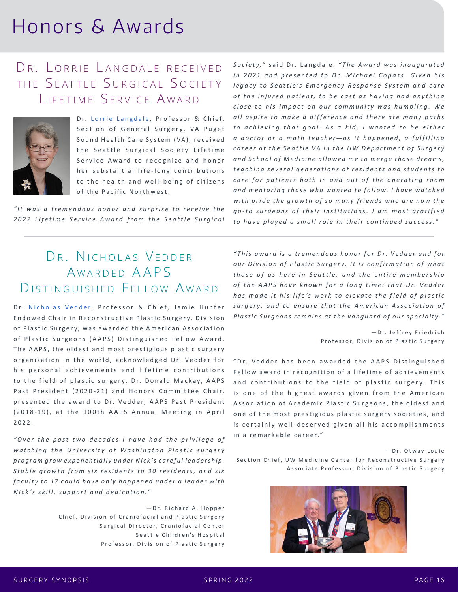### DR. LORRIF LANGDALE RECEIVED THE SEATTLE SURGICAL SOCIETY LIFFTIME SERVICE AWARD



Dr. [Lorrie Langdale](https://www.uwmedicine.org/bios/lorrie-langdale#about-tab), Professor & Chief, Section of General Surgery, VA Puget Sound Health Care System (VA), received the Seattle Surgical Society Lifetime Service Award to recognize and honor her substantial life-long contributions to the health and well-being of citizens of the Pacific Northwest.

"It was a tremendous honor and surprise to receive the 2022 Lifetime Service Award from the Seattle Surgical Society," said Dr. Langdale. "The Award was inaugurated *in 2021 and presented to Dr. Michael Copass. Given his legacy to Seattle's Emergency Response System and care of the injured patient, to be cast as having had anything close to his impact on our community was humbling. We* all aspire to make a difference and there are many paths *to a chieving that goal. As a kid, I wanted to be either a doctor or a math teacher*— *as it happened, a fulfilling career at the Seattle VA in the UW Department of Surgery* and School of Medicine allowed me to merge those dreams, *teaching several generations of residents and students to care for patients both in and out of the operating room* and mentoring those who wanted to follow. I have watched with pride the growth of so many friends who are now the *go-to surgeons of their institutions. I am most gratified to have played a small role in their continued success."*

### DR. NICHOLAS VEDDER AWARDED AAPS DISTINGUISHED FELLOW AWARD

Dr. [Nicholas Vedder](https://www.uwmedicine.org/bios/nicholas-vedder#about-tab), Professor & Chief, Jamie Hunter Endowed Chair in Reconstructive Plastic Surgery, Division of Plastic Surgery, was awarded the American Association of Plastic Surgeons (AAPS) Distinguished Fellow Award. The AAPS, the oldest and most prestigious plastic surgery organization in the world, acknowledged Dr. Vedder for his personal achievements and lifetime contributions to the field of plastic surgery. Dr. Donald Mackay, AAPS Past President (2020-21) and Honors Committee Chair, presented the award to Dr. Vedder, AAPS Past President  $(2018-19)$ , at the 100th AAPS Annual Meeting in April 2022.

"Over the past two decades I have had the privilege of w a t ching the University of W a shing ton Plastic surgery *p r o g r a m g r o w e x p o n e n t i a l l y u n d e r N i c k 's c a r e f u l l e a d e r s h i p .*  Stable growth from six residents to 30 residents, and six faculty to 17 could have only happened under a leader with *Nick's skill, support and dedication."*

> —Dr. Richard A. Hopper Chief, Division of Craniofacial and Plastic Surgery Surgical Director, Craniofacial Center Seattle Children's Hospital Professor, Division of Plastic Surgery

" This aw ard is a tremendous honor for Dr. Vedder and for our Division of Plastic Surgery. It is confirmation of what those of us here in Seattle, and the entire membership of the AAPS have known for a long time: that Dr. Vedder has made it his life's work to elevate the field of plastic surgery, and to ensure that the American Association of *Plastic Surgeons remains at the vanguard of our specialty."*

> —Dr. Jeffrey Friedrich Professor, Division of Plastic Surgery

" Dr. Vedder has been awarded the AAPS Distinguished Fellow award in recognition of a lifetime of achievements and contributions to the field of plastic surgery. This is one of the highest awards given from the American Association of Academic Plastic Surgeons, the oldest and one of the most prestigious plastic surgery societies, and is certainly well-deserved given all his accomplishments in a remarkable career."

—Dr. Otway Louie Section Chief, UW Medicine Center for Reconstructive Surgery Associate Professor, Division of Plastic Surgery

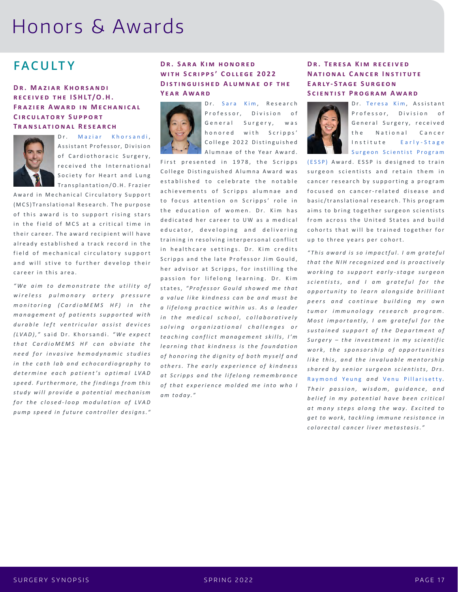### **FACULT Y**

#### **Dr. Maziar Khorsandi RECEIVED THE ISHLT/O.H. FRAZIER AWARD IN MECHANICAL C i r c u l a t o r y S u p p o r t Translational Research**



Dr. [Maziar Khorsandi](https://www.uwmedicine.org/bios/maziar-khorsandi#about-tab), Assistant Professor, Division of Cardiothoracic Surgery, received the International Society for Heart and Lung Transplantation/O.H. Frazier

Award in Mechanical Circulatory Support (MCS) Translational Research. The purpose of this award is to support rising stars in the field of MCS at a critical time in their career. The award recipient will have already established a track record in the field of mechanical circulatory support and will stive to further develop their career in this area.

"We aim to demonstrate the utility of *w i r e l e s s p u l m o n a r y a r t e r y p r e s s u r e m* on *it oring* (Cardio MEMS HF) in the *management of patients supported with* durable left ventricular assist devices *(LVAD)*," said Dr. Khorsandi. "We expect *that CardioMEMS HF can obviate the need for invasive hemodynamic studies in the cath lab and echocardioaraphy to determine each patient's optimal LVAD* speed. Furthermore, the findings from this study will provide a potential mechanism for the closed-loop modulation of LVAD *pump speed in future controller designs."*

#### **DR. SARA KIM HONORED WITH SCRIPPS' COLLEGE 2022 DISTINGUISHED ALUMNAE OF THE Year Award**



Dr. [Sara Kim](https://uwsurgery.org/researchintroduction/research-investigators/sara-kim/), Research Professor, Division of General Surgery, was honored with Scripps' College 2022 Distinguished Alumnae of the Year Award.

First presented in 1978, the Scripps College Distinguished Alumna Award was established to celebrate the notable achievements of Scripps alumnae and to focus attention on Scripps' role in the education of women. Dr. Kim has dedicated her career to UW as a medical ed u cator, developing and delivering training in resolving interpersonal conflict in healthcare settings. Dr. Kim credits Scripps and the late Professor Jim Gould, her advisor at Scripps, for instilling the passion for lifelong learning. Dr. Kim states, "Professor Gould showed me that *a value like kindness can be and must be a lifelong practice within us. As a leader in the medical school, collaboratively* solving organizational challenges or *teaching conflict management skills, I'm learning that kindness is the foundation* of honoring the dignity of both myself and *others. The early experience of kindness* at Scripps and the lifelong remembrance *of that experience molded me into who I am today."*

#### **DR. TERESA KIM RECEIVED NATIONAL CANCER INSTITUTE EARLY-STAGE SURGEON Scientist Program Award**



Dr. [Teresa Kim](https://www.uwmedicine.org/bios/teresa-kim#about-tab), Assistant Professor, Division of General Surgery, received the National Cancer Institute Early-Stage Surgeon Scientist Program

[\(ESSP\)](https://www.cancer.gov/grants-training/training/funding/nci-essp) Award. ESSP is designed to train surgeon scientists and retain them in cancer research by supporting a program focused on cancer-related disease and basic/translational research. This program aims to bring together surgeon scientists from across the United States and build cohorts that will be trained together for up to three years per cohort.

*" T h i s a w a r d i s s o i m p a c t f u l . I a m g r a t e f u l that the NIH recognized and is proactively working to support early-stage surgeon scientists, and I am grateful for the o p p o r t u n i t y t o l e a r n a l o n g s i d e b r i l l i a n t p e e r s a n d c o n t i n u e b u i l d i n g m y o w n t u m o r i m m u n o l o g y r e s e a r c h p r o g r a m . Most importantly, I am grateful for the* sustained support of the Department of *Surgery – the investment in my scientific work, the sponsorship of opportunities like this, and the invaluable mentorship* shared by senior surgeon scientists, Drs. [Raymond Yeung](https://www.uwmedicine.org/bios/raymond-yeung#about-tab) *and* [Venu Pillarisetty](https://www.uwmedicine.org/bios/venu-pillarisetty#about-tab) *. Their passion, wisdom, quidance, and belief in my potential have been critical* at many steps along the way. Excited to *get to work, tackling immune resistance in colorectal cancer liver metastasis."*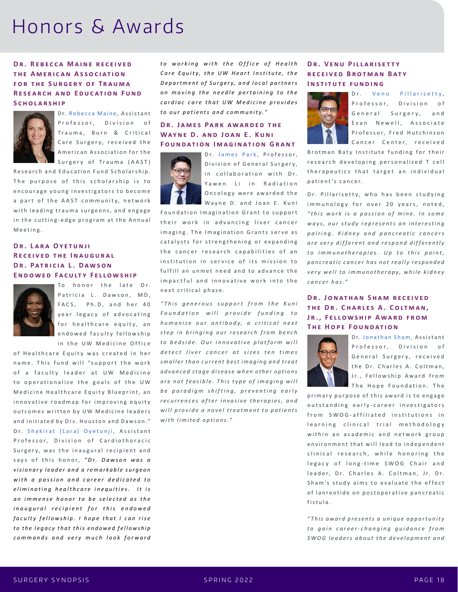#### **DR. REBECCA MAINE RECEIVED t h e A m e r i c a n A s s o c i a t i o n FOR THE SURGERY OF TRAUMA RESEARCH AND EDUCATION FUND Scholarship**



Dr. [Rebecca Maine](https://www.uwmedicine.org/bios/rebecca-maine#about-tab), Assistant Professor, Division of Trauma, Burn & Critical Care Surgery, received the A merican Association for the Surgery of Trauma (AAST)

Research and Education Fund Scholarship. The purpose of this scholarship is to encourage young investigators to become a part of the AAST community, network with leading trauma surgeons, and engage in the cutting-edge program at the Annual Meeting.

#### **Dr. Lara Oyetunji Received the Inaugural DR. PATRICIA L. DAWSON Endowed Faculty Fellowship**



To honor the late Dr. Patricia L. Dawson, MD, FACS, Ph.D, and her 40 y e ar legacy of advocating for healthcare equity, an endowed faculty fellowship in the UW Medicine Office

of Healthcare Equity was created in her name. This fund will "support the work of a faculty leader at UW Medicine to operationalize the goals of the UW Medicine Healthcare Equity Blueprint, an innovative roadmap for improving equity outcomes written by UW Medicine leaders and initiated by Drs. Houston and Dawson." Dr. [Shakirat \(Lara\) Oyetunji](https://www.uwmedicine.org/bios/shakirat-oyetunji), Assistant Professor, Division of Cardiothoracic Surgery, was the inaugural recipient and says of this honor, "Dr. Dawson was a visionary leader and a remarkable surgeon with a passion and career dedicated to *eliminating healthcare inequities. It is* an immense honor to be selected as the *in a u q ural* recipient for this endowed *faculty fellowship. I hope that I can rise to the legacy that this endowed fellowship* commands and very much look forward

*to working with the Office of Health Care Equity, the UW Heart Institute, the Department of Surgery, and local partners on moving the needle pertaining to the cardiac care that UW Medicine provides to our patients and community."*

#### **DR. JAMES PARK AWARDED THE WAYNE D. AND JOAN E. KUNI Foundation Imagination Grant**



Dr. [James Park](https://www.uwmedicine.org/bios/james-park#about-tab), Professor, Division of General Surgery, in collaboration with Dr. Yawen Li in Radiation Oncology were awarded the Wayne D. and Joan E. Kuni

Foundation Imagination Grant to support their work in advancing liver cancer imaging. The Imagination Grants serve as catalysts for strengthening or expanding the cancer research capabilities of an institution in service of its mission to fulfill an unmet need and to advance the impactful and innovative work into the next critical phase.

*" T h i s g e n e r o u s s u p p o r t f r o m t h e K u n i*  Foundation will provide funding to *humanize our antibody, a critical next* step in bringing our research from bench *to bedside. Our innovative platform will detect liver cancer at sizes ten times* smaller than current best imaging and treat *a d v a n c e d s t a g e d i s e a s e w h e n o t h e r o p t i o n s*  are not feasible. This type of imaging will *be paradigm shifting, preventing early recurrences after invasive therapies, and will provide a novel treatment to patients with limited options."*

#### **DR. VENU PILLARISETTY RECEIVED BROTMAN BATY Institute funding**



Dr. [Venu Pillarisetty](https://www.uwmedicine.org/bios/venu-pillarisetty#about-tab), Professor, Division of General Surgery, and Evan Newell, Associate Professor, Fred Hutchinson Cancer Center, received

Brotman Baty Institute funding for their research developing personalized T cell therapeutics that target an individual patient's cancer.

Dr. Pillarisetty, who has been studying im m u n o logy for over 20 years, noted, " this work is a passion of mine. In some *ways, our study represents an interesting* pairing. Kidney and pancreatic cancers are very different and respond differently *to immunotherapies. Up to this point,* p an creatic cancer has not really responded *very well to immunotherapy, while kidney cancer has."*

#### **DR. JONATHAN SHAM RECEIVED THE DR. CHARLES A. COLTMAN, JR., FELLOWSHIP AWARD FROM The Hope Foundation**



Dr. [Jonathan Sham,](https://www.uwmedicine.org/bios/jonathan-sham#about-tab) Assistant Professor, Division of General Surgery, received the Dr. Charles A. Coltman, Jr., Fellowship Award from The Hope Foundation. The

primary purpose of this award is to engage outstanding early-career investigators from SWOG-affiliated institutions in learning clinical trial methodology within an academic and network group environment that will lead to independent clinical research, while honoring the legacy of long-time SWOG Chair and leader, Dr. Charles A. Coltman, Jr. Dr. Sham's study aims to evaluate the effect of lanreotide on postoperative pancreatic fistula.

*" T h i s a w a r d p r e s e n t s a u n i q u e o p p o r t u n i t y to gain career-changing quidance from* SWOG leaders about the development and